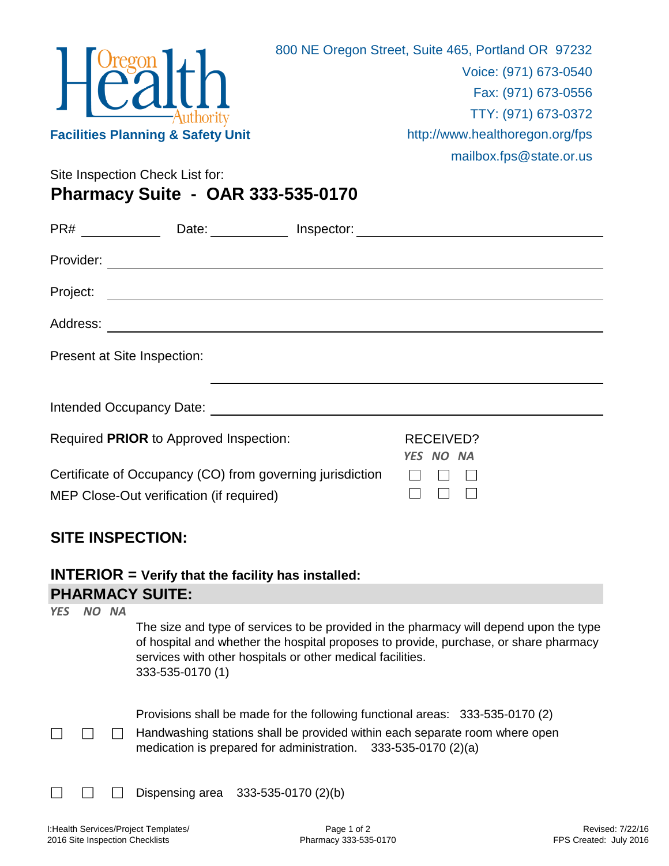

Site Inspection Check List for:

**Pharmacy Suite - OAR 333-535-0170**

| PR#                         | Date:                                                                                                                 | Inspector: |                               | <u> 1980 - Jan Samuel Barbara, martin da shekara 1980 - An tsara 1980 - An tsara 1980 - An tsara 1980 - An tsara</u> |
|-----------------------------|-----------------------------------------------------------------------------------------------------------------------|------------|-------------------------------|----------------------------------------------------------------------------------------------------------------------|
| Provider:                   | <u> 1980 - Johann Barn, amerikan bestemannten bestemannten av den stadt som bestemannen av den stadt som besteman</u> |            |                               |                                                                                                                      |
| Project:                    | <u> 1989 - Johann Stein, mars ann an t-Amhainn an t-Amhainn an t-Amhainn an t-Amhainn an t-Amhainn an t-Amhainn a</u> |            |                               |                                                                                                                      |
| Address:                    | <u> 1989 - Andrea Andrew Maria (h. 1989).</u>                                                                         |            |                               |                                                                                                                      |
| Present at Site Inspection: |                                                                                                                       |            |                               |                                                                                                                      |
|                             |                                                                                                                       |            |                               |                                                                                                                      |
|                             |                                                                                                                       |            |                               |                                                                                                                      |
|                             | Required PRIOR to Approved Inspection:                                                                                |            | RECEIVED?<br><b>YES NO NA</b> |                                                                                                                      |
|                             | Certificate of Occupancy (CO) from governing jurisdiction                                                             |            |                               |                                                                                                                      |
|                             | MEP Close-Out verification (if required)                                                                              |            |                               |                                                                                                                      |

## **SITE INSPECTION:**

**PHARMACY SUITE: INTERIOR = Verify that the facility has installed:**

| <b>YES</b> | <b>NA</b> | The size and type of services to be provided in the pharmacy will depend upon the type<br>of hospital and whether the hospital proposes to provide, purchase, or share pharmacy<br>services with other hospitals or other medical facilities.<br>333-535-0170 (1) |
|------------|-----------|-------------------------------------------------------------------------------------------------------------------------------------------------------------------------------------------------------------------------------------------------------------------|
|            |           | Provisions shall be made for the following functional areas: 333-535-0170 (2)<br>Handwashing stations shall be provided within each separate room where open<br>medication is prepared for administration. $333-535-0170(2)(a)$                                   |
|            |           | Dispensing area $333-535-0170(2)(b)$                                                                                                                                                                                                                              |